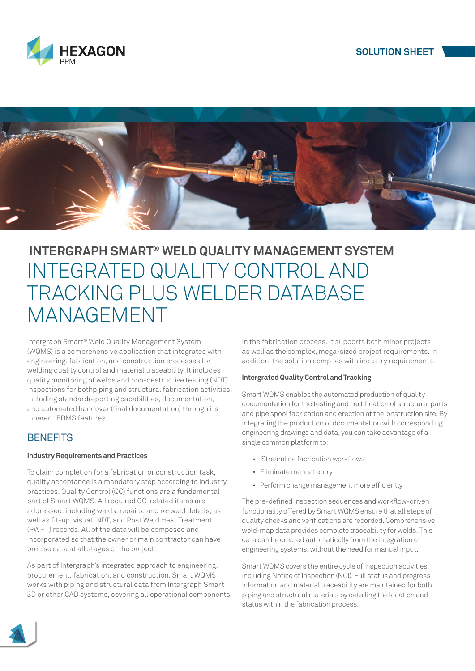



# **INTERGRAPH SMART® WELD QUALITY MANAGEMENT SYSTEM** INTEGRATED QUALITY CONTROL AND TRACKING PLUS WELDER DATABASE MANAGEMENT

Intergraph Smart*®* Weld Quality Management System (WQMS) is a comprehensive application that integrates with engineering, fabrication, and construction processes for welding quality control and material traceability. It includes quality monitoring of welds and non-destructive testing (NDT) inspections for bothpiping and structural fabrication activities. including standardreporting capabilities, documentation, and automated handover (final documentation) through its inherent EDMS features.

## **BENEFITS**

## **Industry Requirements and Practices**

To claim completion for a fabrication or construction task, quality acceptance is a mandatory step according to industry practices. Quality Control (QC) functions are a fundamental part of Smart WQMS. All required QC-related items are addressed, including welds, repairs, and re-weld details, as well as fit-up, visual, NDT, and Post Weld Heat Treatment (PWHT) records. All of the data will be composed and incorporated so that the owner or main contractor can have precise data at all stages of the project.

As part of Intergraph's integrated approach to engineering, procurement, fabrication, and construction, Smart WQMS works with piping and structural data from Intergraph Smart 3D or other CAD systems, covering all operational components in the fabrication process. It supports both minor projects as well as the complex, mega-sized project requirements. In addition, the solution complies with industry requirements.

## **Intergrated Quality Control and Tracking**

Smart WQMS enables the automated production of quality documentation for the testing and certification of structural parts and pipe spool fabrication and erection at the onstruction site. By integrating the production of documentation with corresponding engineering drawings and data, you can take advantage of a single common platform to:

- Streamline fabrication workflows
- Eliminate manual entry
- Perform change management more efficiently

The pre-defined inspection sequences and workflow-driven functionality offered by Smart WQMS ensure that all steps of quality checks and verifications are recorded. Comprehensive weld-map data provides complete traceability for welds. This data can be created automatically from the integration of engineering systems, without the need for manual input.

Smart WQMS covers the entire cycle of inspection activities, including Notice of Inspection (NOI). Full status and progress information and material traceability are maintained for both piping and structural materials by detailing the location and status within the fabrication process.